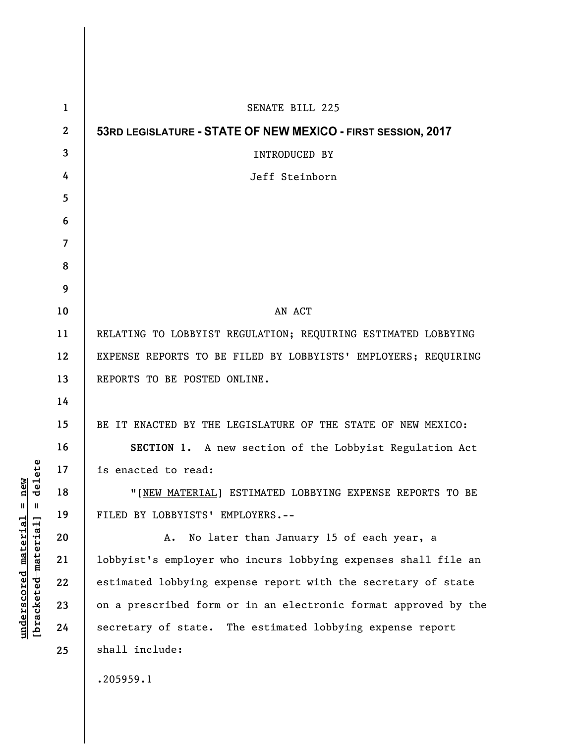| $\mathbf{1}$   | SENATE BILL 225                                                 |
|----------------|-----------------------------------------------------------------|
| $\mathbf{2}$   | 53RD LEGISLATURE - STATE OF NEW MEXICO - FIRST SESSION, 2017    |
| 3              | <b>INTRODUCED BY</b>                                            |
| 4              | Jeff Steinborn                                                  |
| 5              |                                                                 |
| 6              |                                                                 |
| $\overline{7}$ |                                                                 |
| 8              |                                                                 |
| 9              |                                                                 |
| 10             | AN ACT                                                          |
| 11             | RELATING TO LOBBYIST REGULATION; REQUIRING ESTIMATED LOBBYING   |
| 12             | EXPENSE REPORTS TO BE FILED BY LOBBYISTS' EMPLOYERS; REQUIRING  |
| 13             | REPORTS TO BE POSTED ONLINE.                                    |
| 14             |                                                                 |
| 15             | BE IT ENACTED BY THE LEGISLATURE OF THE STATE OF NEW MEXICO:    |
| 16             | SECTION 1. A new section of the Lobbyist Regulation Act         |
| 17             | is enacted to read:                                             |
| 18             | "[NEW MATERIAL] ESTIMATED LOBBYING EXPENSE REPORTS TO BE        |
| 19             | FILED BY LOBBYISTS' EMPLOYERS.--                                |
| 20             | No later than January 15 of each year, a<br>A.                  |
| 21             | lobbyist's employer who incurs lobbying expenses shall file an  |
| 22             | estimated lobbying expense report with the secretary of state   |
| 23             | on a prescribed form or in an electronic format approved by the |
| 24             | secretary of state. The estimated lobbying expense report       |
| 25             | shall include:                                                  |
|                | .205959.1                                                       |

 $[**bracket eted metert et**] = **del et e**$ **[bracketed material] = delete**  $underscored material = new$ **underscored material = new**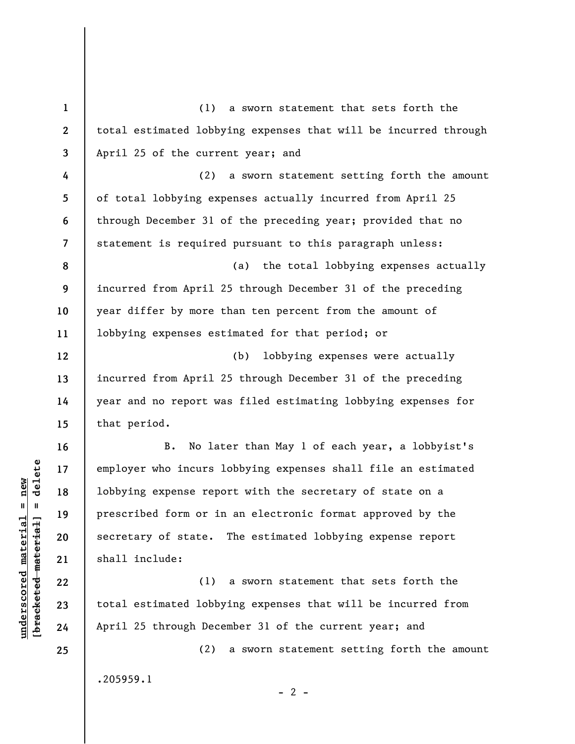| $\mathbf{1}$   | (1) a sworn statement that sets forth the                       |
|----------------|-----------------------------------------------------------------|
| $\mathbf{2}$   | total estimated lobbying expenses that will be incurred through |
| $\overline{3}$ | April 25 of the current year; and                               |
| 4              | a sworn statement setting forth the amount<br>(2)               |
| 5              | of total lobbying expenses actually incurred from April 25      |
| 6              | through December 31 of the preceding year; provided that no     |
| $\overline{7}$ | statement is required pursuant to this paragraph unless:        |
| 8              | (a) the total lobbying expenses actually                        |
| 9              | incurred from April 25 through December 31 of the preceding     |
| 10             | year differ by more than ten percent from the amount of         |
| 11             | lobbying expenses estimated for that period; or                 |
| 12             | lobbying expenses were actually<br>(b)                          |
| 13             | incurred from April 25 through December 31 of the preceding     |
| 14             | year and no report was filed estimating lobbying expenses for   |
| 15             | that period.                                                    |
| 16             | No later than May 1 of each year, a lobbyist's<br>В.            |
| 17             | employer who incurs lobbying expenses shall file an estimated   |
| 18             | lobbying expense report with the secretary of state on a        |
| 19             | prescribed form or in an electronic format approved by the      |
| 20             | secretary of state. The estimated lobbying expense report       |
| 21             | shall include:                                                  |
| 22             | (1) a sworn statement that sets forth the                       |
| 23             | total estimated lobbying expenses that will be incurred from    |
| 24             | April 25 through December 31 of the current year; and           |
| 25             | (2)<br>a sworn statement setting forth the amount               |
|                |                                                                 |

 $[**bracket**et~~eted matcherial~~] = **delete**$ **[bracketed material] = delete**  $underscored material = new$ **underscored material = new**

.205959.1

 $- 2 -$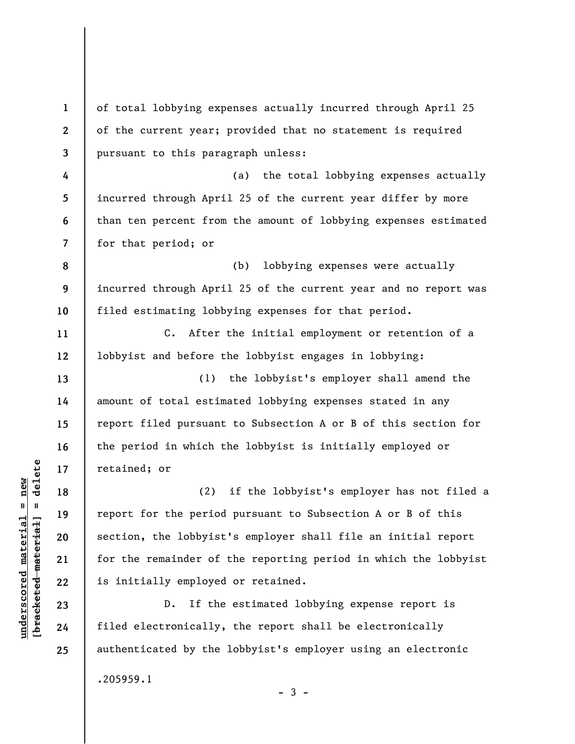**1 2 3 4 5 6 7 8 9 10 11 12 13 14 15 16 17 18 19 20 21 22 23 24 25**  of total lobbying expenses actually incurred through April 25 of the current year; provided that no statement is required pursuant to this paragraph unless: (a) the total lobbying expenses actually incurred through April 25 of the current year differ by more than ten percent from the amount of lobbying expenses estimated for that period; or (b) lobbying expenses were actually incurred through April 25 of the current year and no report was filed estimating lobbying expenses for that period. C. After the initial employment or retention of a lobbyist and before the lobbyist engages in lobbying: (1) the lobbyist's employer shall amend the amount of total estimated lobbying expenses stated in any report filed pursuant to Subsection A or B of this section for the period in which the lobbyist is initially employed or retained; or (2) if the lobbyist's employer has not filed a report for the period pursuant to Subsection A or B of this section, the lobbyist's employer shall file an initial report for the remainder of the reporting period in which the lobbyist is initially employed or retained. D. If the estimated lobbying expense report is filed electronically, the report shall be electronically authenticated by the lobbyist's employer using an electronic

 $-3 -$ 

.205959.1

 $b$ racketed material] = delete **[bracketed material] = delete**  $underscored material = new$ **underscored material = new**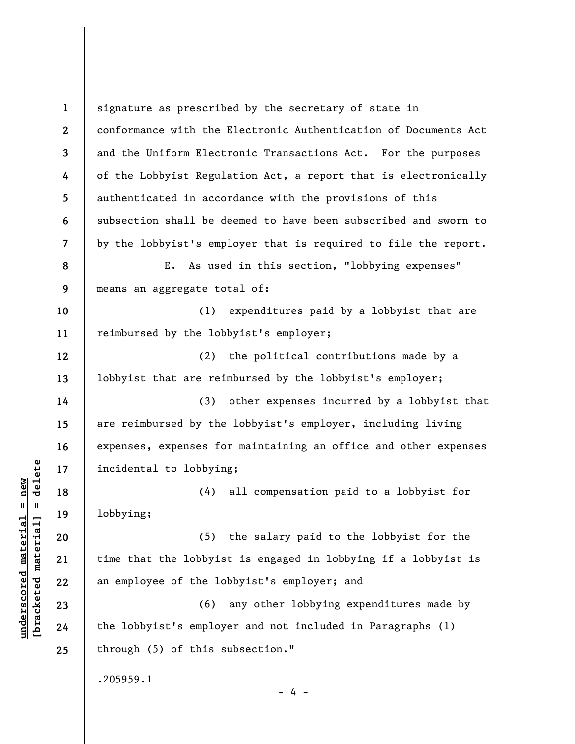**1 2 3 4 5 6 7 8 9 10 11 12 13 14 15 16 17 18 19 20 21 22 23 24 25**  signature as prescribed by the secretary of state in conformance with the Electronic Authentication of Documents Act and the Uniform Electronic Transactions Act. For the purposes of the Lobbyist Regulation Act, a report that is electronically authenticated in accordance with the provisions of this subsection shall be deemed to have been subscribed and sworn to by the lobbyist's employer that is required to file the report. E. As used in this section, "lobbying expenses" means an aggregate total of: (1) expenditures paid by a lobbyist that are reimbursed by the lobbyist's employer; (2) the political contributions made by a lobbyist that are reimbursed by the lobbyist's employer; (3) other expenses incurred by a lobbyist that are reimbursed by the lobbyist's employer, including living expenses, expenses for maintaining an office and other expenses incidental to lobbying; (4) all compensation paid to a lobbyist for lobbying; (5) the salary paid to the lobbyist for the time that the lobbyist is engaged in lobbying if a lobbyist is an employee of the lobbyist's employer; and (6) any other lobbying expenditures made by the lobbyist's employer and not included in Paragraphs (1) through (5) of this subsection." .205959.1 - 4 -

 $\frac{1}{2}$  intereted material = delete **[bracketed material] = delete**  $underscored material = new$ **underscored material = new**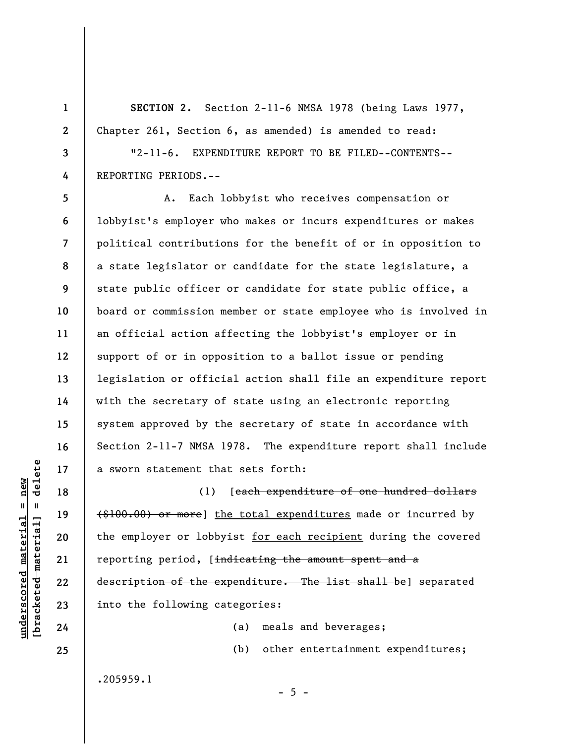**SECTION 2.** Section 2-11-6 NMSA 1978 (being Laws 1977, Chapter 261, Section 6, as amended) is amended to read:

**3**  "2-11-6. EXPENDITURE REPORT TO BE FILED--CONTENTS-- REPORTING PERIODS.--

**5 6 7 8 9 10 11 12 13 14 15 16 17**  A. Each lobbyist who receives compensation or lobbyist's employer who makes or incurs expenditures or makes political contributions for the benefit of or in opposition to a state legislator or candidate for the state legislature, a state public officer or candidate for state public office, a board or commission member or state employee who is involved in an official action affecting the lobbyist's employer or in support of or in opposition to a ballot issue or pending legislation or official action shall file an expenditure report with the secretary of state using an electronic reporting system approved by the secretary of state in accordance with Section 2-11-7 NMSA 1978. The expenditure report shall include a sworn statement that sets forth:

(1) [each expenditure of one hundred dollars (\$100.00) or more] the total expenditures made or incurred by the employer or lobbyist for each recipient during the covered reporting period, [indicating the amount spent and a description of the expenditure. The list shall be] separated into the following categories:

 $- 5 -$ 

(a) meals and beverages; (b) other entertainment expenditures;

.205959.1

 $=$  delete **[bracketed material] = delete**  $underscored material = new$ **underscored material = new** bracketed material

**18** 

**19** 

**20** 

**21** 

**22** 

**23** 

**24** 

**25** 

**1** 

**2** 

**4**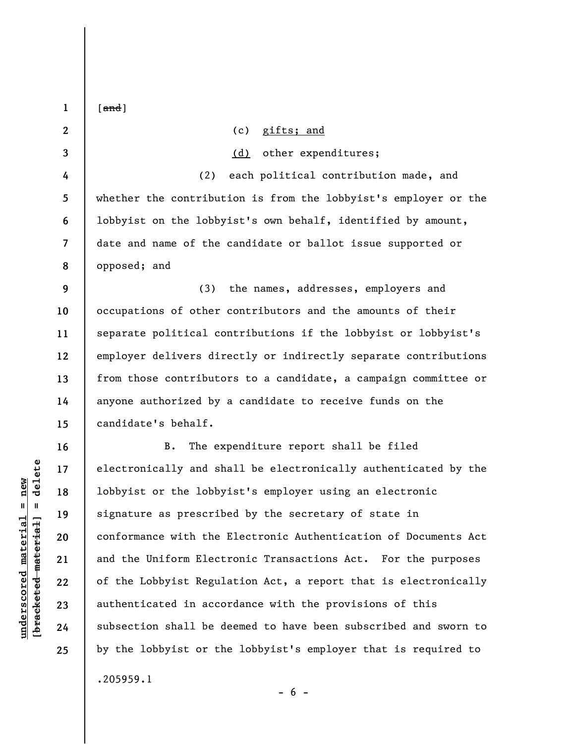| $\mathbf{1}$             | $[$ and $]$                                                     |
|--------------------------|-----------------------------------------------------------------|
| $\mathbf{2}$             | (c) gifts; and                                                  |
| 3                        | other expenditures;<br>(d)                                      |
| 4                        | each political contribution made, and<br>(2)                    |
| 5                        | whether the contribution is from the lobbyist's employer or the |
| 6                        | lobbyist on the lobbyist's own behalf, identified by amount,    |
| $\overline{\mathcal{L}}$ | date and name of the candidate or ballot issue supported or     |
| 8                        | opposed; and                                                    |
| 9                        | (3)<br>the names, addresses, employers and                      |
| 10                       | occupations of other contributors and the amounts of their      |
| 11                       | separate political contributions if the lobbyist or lobbyist's  |
| 12                       | employer delivers directly or indirectly separate contributions |
| 13                       | from those contributors to a candidate, a campaign committee or |
| 14                       | anyone authorized by a candidate to receive funds on the        |
| 15                       | candidate's behalf.                                             |
| 16                       | The expenditure report shall be filed<br><b>B.</b>              |
| 17                       | electronically and shall be electronically authenticated by the |
| 18                       | lobbyist or the lobbyist's employer using an electronic         |
| 19                       | signature as prescribed by the secretary of state in            |
| 20                       | conformance with the Electronic Authentication of Documents Act |
| 21                       | and the Uniform Electronic Transactions Act. For the purposes   |
| 22                       | of the Lobbyist Regulation Act, a report that is electronically |
| 23                       | authenticated in accordance with the provisions of this         |
| 24                       | subsection shall be deemed to have been subscribed and sworn to |
| 25                       | by the lobbyist or the lobbyist's employer that is required to  |
|                          | .205959.1                                                       |

 $[**bracket**et~~eted matcherial~~] = **delete**$ **[bracketed material] = delete**  $underscored$  material = new **underscored material = new**

 $- 6 -$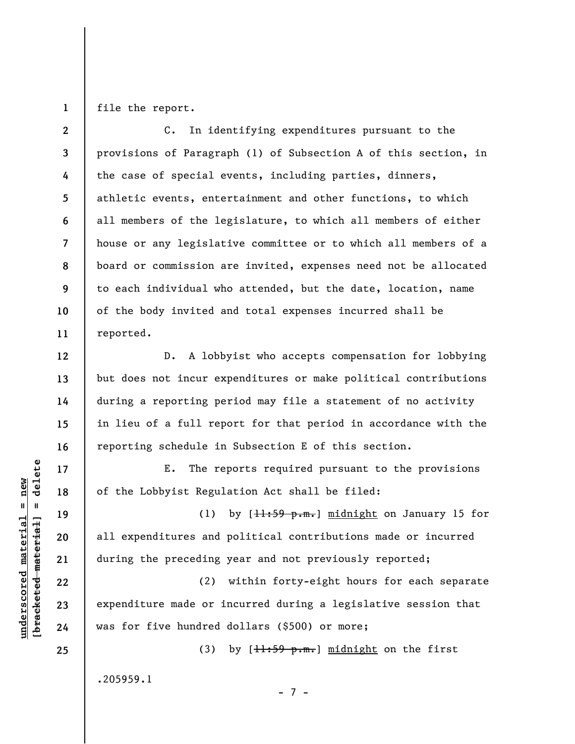**1**  file the report.

**2 3 4 5 6 7 8 9 10 11**  C. In identifying expenditures pursuant to the provisions of Paragraph (1) of Subsection A of this section, in the case of special events, including parties, dinners, athletic events, entertainment and other functions, to which all members of the legislature, to which all members of either house or any legislative committee or to which all members of a board or commission are invited, expenses need not be allocated to each individual who attended, but the date, location, name of the body invited and total expenses incurred shall be reported.

D. A lobbyist who accepts compensation for lobbying but does not incur expenditures or make political contributions during a reporting period may file a statement of no activity in lieu of a full report for that period in accordance with the reporting schedule in Subsection E of this section.

E. The reports required pursuant to the provisions of the Lobbyist Regulation Act shall be filed:

(1) by  $[\frac{11:59 \text{ p.m.}}{1 \text{ m.idnight}}]$  on January 15 for all expenditures and political contributions made or incurred during the preceding year and not previously reported;

(2) within forty-eight hours for each separate expenditure made or incurred during a legislative session that was for five hundred dollars (\$500) or more;

- 7 -

(3) by  $[\frac{11:59 \text{ p.m.}}{\text{m}}]$  midnight on the first

.205959.1

 $\frac{1}{2}$  intereted material = delete **[bracketed material] = delete**  $underscored material = new$ **underscored material = new**

**12** 

**13** 

**14** 

**15** 

**16** 

**17** 

**18** 

**19** 

**20** 

**21** 

**22** 

**23** 

**24** 

**25**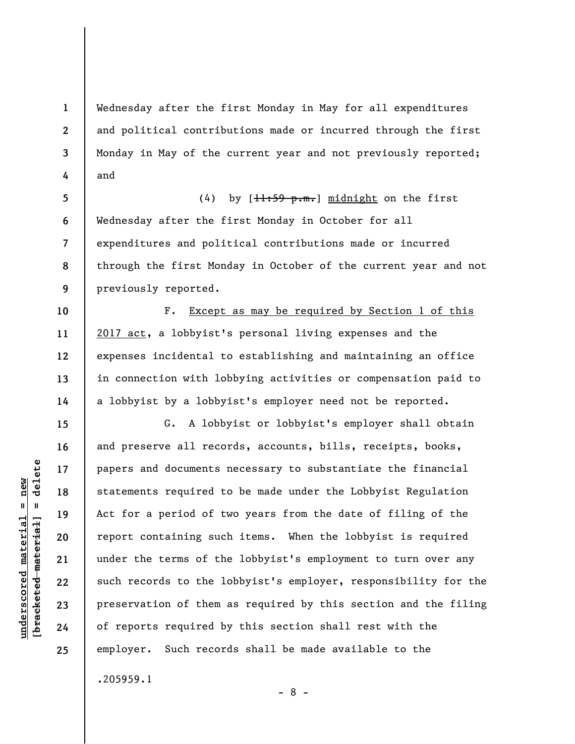Wednesday after the first Monday in May for all expenditures and political contributions made or incurred through the first Monday in May of the current year and not previously reported; and

**5 6 7 8 9**  (4) by  $[\frac{11:59 \text{ p.m.}}{1 \text{ m.i}}]$  midnight on the first Wednesday after the first Monday in October for all expenditures and political contributions made or incurred through the first Monday in October of the current year and not previously reported.

F. Except as may be required by Section 1 of this 2017 act, a lobbyist's personal living expenses and the expenses incidental to establishing and maintaining an office in connection with lobbying activities or compensation paid to a lobbyist by a lobbyist's employer need not be reported.

G. A lobbyist or lobbyist's employer shall obtain and preserve all records, accounts, bills, receipts, books, papers and documents necessary to substantiate the financial statements required to be made under the Lobbyist Regulation Act for a period of two years from the date of filing of the report containing such items. When the lobbyist is required under the terms of the lobbyist's employment to turn over any such records to the lobbyist's employer, responsibility for the preservation of them as required by this section and the filing of reports required by this section shall rest with the employer. Such records shall be made available to the

 $\frac{1}{2}$  bracketed material = delete **[bracketed material] = delete**  $underscored material = new$ **underscored material = new**

**1** 

**2** 

**3** 

**4** 

**10** 

**11** 

**12** 

**13** 

**14** 

**15** 

**16** 

**17** 

**18** 

**19** 

**20** 

**21** 

**22** 

**23** 

**24** 

**25** 

.205959.1

- 8 -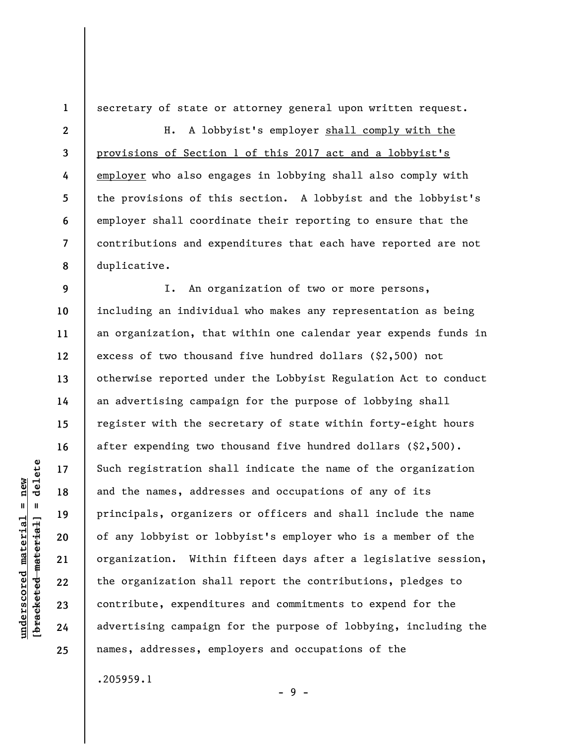secretary of state or attorney general upon written request.

**3 8**  H. A lobbyist's employer shall comply with the provisions of Section 1 of this 2017 act and a lobbyist's employer who also engages in lobbying shall also comply with the provisions of this section. A lobbyist and the lobbyist's employer shall coordinate their reporting to ensure that the contributions and expenditures that each have reported are not duplicative.

**9 10 11 12 13 14 15 16 17 18 19 20 21 22 23 24 25**  I. An organization of two or more persons, including an individual who makes any representation as being an organization, that within one calendar year expends funds in excess of two thousand five hundred dollars (\$2,500) not otherwise reported under the Lobbyist Regulation Act to conduct an advertising campaign for the purpose of lobbying shall register with the secretary of state within forty-eight hours after expending two thousand five hundred dollars (\$2,500). Such registration shall indicate the name of the organization and the names, addresses and occupations of any of its principals, organizers or officers and shall include the name of any lobbyist or lobbyist's employer who is a member of the organization. Within fifteen days after a legislative session, the organization shall report the contributions, pledges to contribute, expenditures and commitments to expend for the advertising campaign for the purpose of lobbying, including the names, addresses, employers and occupations of the

.205959.1

**underscored material = new [bracketed material] = delete**

 $underscored material = new$  $\frac{1}{2}$ 

delete

**1** 

**2** 

**4** 

**5** 

**6** 

**7** 

- 9 -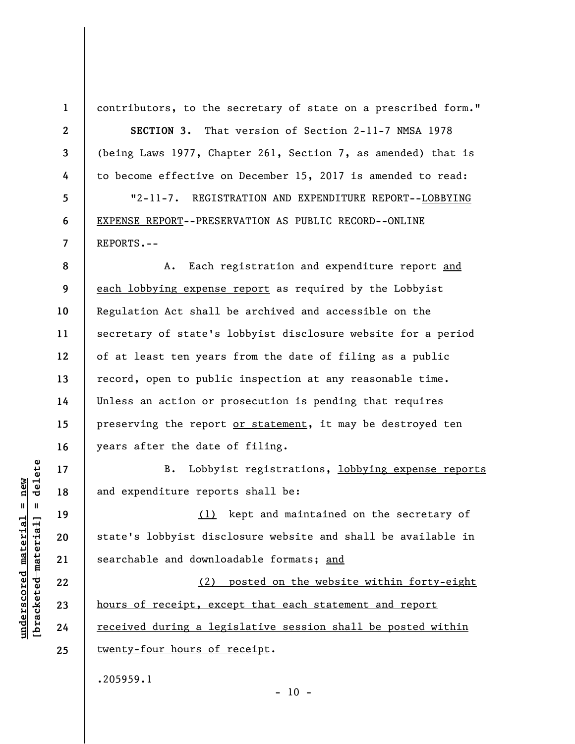**1 2** 

**3** 

**4** 

**5** 

**6** 

**7** 

contributors, to the secretary of state on a prescribed form."

**SECTION 3.** That version of Section 2-11-7 NMSA 1978 (being Laws 1977, Chapter 261, Section 7, as amended) that is to become effective on December 15, 2017 is amended to read: "2-11-7. REGISTRATION AND EXPENDITURE REPORT--LOBBYING

EXPENSE REPORT--PRESERVATION AS PUBLIC RECORD--ONLINE REPORTS.--

**8 9 10 11 12 13 14 15 16**  A. Each registration and expenditure report and each lobbying expense report as required by the Lobbyist Regulation Act shall be archived and accessible on the secretary of state's lobbyist disclosure website for a period of at least ten years from the date of filing as a public record, open to public inspection at any reasonable time. Unless an action or prosecution is pending that requires preserving the report or statement, it may be destroyed ten years after the date of filing.

B. Lobbyist registrations, lobbying expense reports and expenditure reports shall be:

(1) kept and maintained on the secretary of state's lobbyist disclosure website and shall be available in searchable and downloadable formats; and

(2) posted on the website within forty-eight hours of receipt, except that each statement and report received during a legislative session shall be posted within twenty-four hours of receipt.

 $- 10 -$ 

.205959.1

 $\frac{1}{2}$  intereted material = delete **[bracketed material] = delete**  $underscored material = new$ **underscored material = new**

**17** 

**18** 

**19** 

**20** 

**21** 

**22** 

**23** 

**24** 

**25**